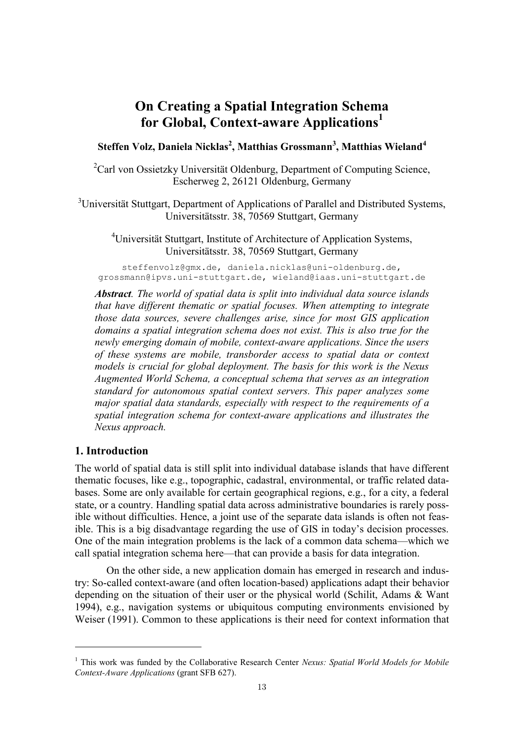# **On Creating a Spatial Integration Schema for Global, Context-aware Applications<sup>1</sup>**

## **Steffen Volz, Daniela Nicklas<sup>2</sup> , Matthias Grossmann<sup>3</sup> , Matthias Wieland<sup>4</sup>**

<sup>2</sup>Carl von Ossietzky Universität Oldenburg, Department of Computing Science, Escherweg 2, 26121 Oldenburg, Germany

<sup>3</sup>Universität Stuttgart, Department of Applications of Parallel and Distributed Systems, Universitätsstr. 38, 70569 Stuttgart, Germany

<sup>4</sup>Universität Stuttgart, Institute of Architecture of Application Systems, Universitätsstr. 38, 70569 Stuttgart, Germany

steffenvolz@gmx.de, daniela.nicklas@uni-oldenburg.de, grossmann@ipvs.uni-stuttgart.de, wieland@iaas.uni-stuttgart.de

*Abstract. The world of spatial data is split into individual data source islands that have different thematic or spatial focuses. When attempting to integrate those data sources, severe challenges arise, since for most GIS application domains a spatial integration schema does not exist. This is also true for the newly emerging domain of mobile, context-aware applications. Since the users of these systems are mobile, transborder access to spatial data or context models is crucial for global deployment. The basis for this work is the Nexus Augmented World Schema, a conceptual schema that serves as an integration standard for autonomous spatial context servers. This paper analyzes some major spatial data standards, especially with respect to the requirements of a spatial integration schema for context-aware applications and illustrates the Nexus approach.*

#### **1. Introduction**

1

The world of spatial data is still split into individual database islands that have different thematic focuses, like e.g., topographic, cadastral, environmental, or traffic related databases. Some are only available for certain geographical regions, e.g., for a city, a federal state, or a country. Handling spatial data across administrative boundaries is rarely possible without difficulties. Hence, a joint use of the separate data islands is often not feasible. This is a big disadvantage regarding the use of GIS in today's decision processes. One of the main integration problems is the lack of a common data schema—which we call spatial integration schema here—that can provide a basis for data integration.

On the other side, a new application domain has emerged in research and industry: So-called context-aware (and often location-based) applications adapt their behavior depending on the situation of their user or the physical world (Schilit, Adams & Want 1994), e.g., navigation systems or ubiquitous computing environments envisioned by Weiser (1991). Common to these applications is their need for context information that

<sup>1</sup> This work was funded by the Collaborative Research Center *Nexus: Spatial World Models for Mobile Context-Aware Applications* (grant SFB 627).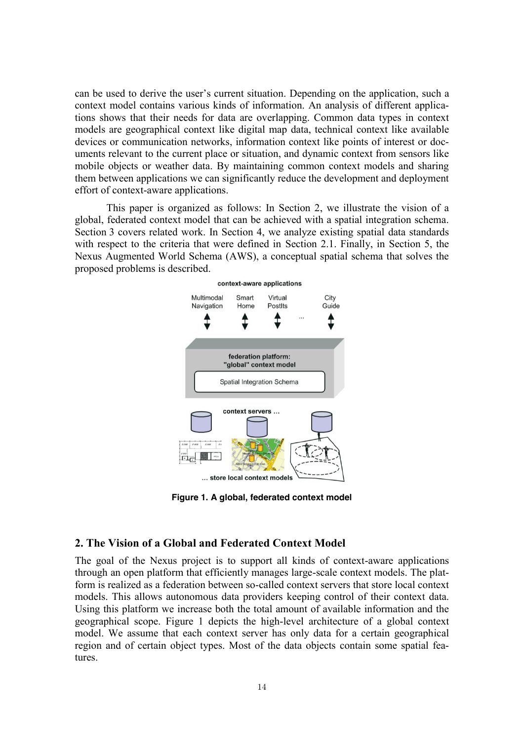can be used to derive the user's current situation. Depending on the application, such a context model contains various kinds of information. An analysis of different applications shows that their needs for data are overlapping. Common data types in context models are geographical context like digital map data, technical context like available devices or communication networks, information context like points of interest or documents relevant to the current place or situation, and dynamic context from sensors like mobile objects or weather data. By maintaining common context models and sharing them between applications we can significantly reduce the development and deployment effort of context-aware applications.

This paper is organized as follows: In Section 2, we illustrate the vision of a global, federated context model that can be achieved with a spatial integration schema. Section 3 covers related work. In Section 4, we analyze existing spatial data standards with respect to the criteria that were defined in Section 2.1. Finally, in Section 5, the Nexus Augmented World Schema (AWS), a conceptual spatial schema that solves the proposed problems is described.



**Figure 1. A global, federated context model**

## **2. The Vision of a Global and Federated Context Model**

The goal of the Nexus project is to support all kinds of context-aware applications through an open platform that efficiently manages large-scale context models. The platform is realized as a federation between so-called context servers that store local context models. This allows autonomous data providers keeping control of their context data. Using this platform we increase both the total amount of available information and the geographical scope. Figure 1 depicts the high-level architecture of a global context model. We assume that each context server has only data for a certain geographical region and of certain object types. Most of the data objects contain some spatial features.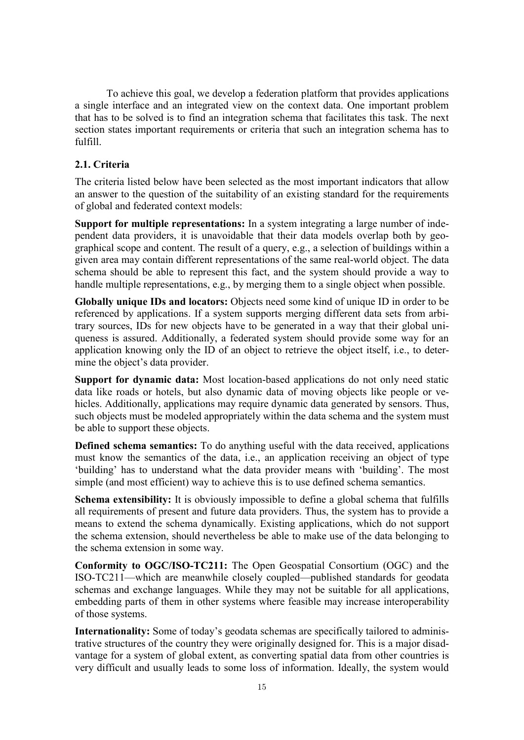To achieve this goal, we develop a federation platform that provides applications a single interface and an integrated view on the context data. One important problem that has to be solved is to find an integration schema that facilitates this task. The next section states important requirements or criteria that such an integration schema has to fulfill.

## **2.1. Criteria**

The criteria listed below have been selected as the most important indicators that allow an answer to the question of the suitability of an existing standard for the requirements of global and federated context models:

**Support for multiple representations:** In a system integrating a large number of independent data providers, it is unavoidable that their data models overlap both by geographical scope and content. The result of a query, e.g., a selection of buildings within a given area may contain different representations of the same real-world object. The data schema should be able to represent this fact, and the system should provide a way to handle multiple representations, e.g., by merging them to a single object when possible.

**Globally unique IDs and locators:** Objects need some kind of unique ID in order to be referenced by applications. If a system supports merging different data sets from arbitrary sources, IDs for new objects have to be generated in a way that their global uniqueness is assured. Additionally, a federated system should provide some way for an application knowing only the ID of an object to retrieve the object itself, i.e., to determine the object's data provider.

**Support for dynamic data:** Most location-based applications do not only need static data like roads or hotels, but also dynamic data of moving objects like people or vehicles. Additionally, applications may require dynamic data generated by sensors. Thus, such objects must be modeled appropriately within the data schema and the system must be able to support these objects.

**Defined schema semantics:** To do anything useful with the data received, applications must know the semantics of the data, i.e., an application receiving an object of type 'building' has to understand what the data provider means with 'building'. The most simple (and most efficient) way to achieve this is to use defined schema semantics.

**Schema extensibility:** It is obviously impossible to define a global schema that fulfills all requirements of present and future data providers. Thus, the system has to provide a means to extend the schema dynamically. Existing applications, which do not support the schema extension, should nevertheless be able to make use of the data belonging to the schema extension in some way.

**Conformity to OGC/ISO-TC211:** The Open Geospatial Consortium (OGC) and the ISO-TC211—which are meanwhile closely coupled—published standards for geodata schemas and exchange languages. While they may not be suitable for all applications, embedding parts of them in other systems where feasible may increase interoperability of those systems.

**Internationality:** Some of today's geodata schemas are specifically tailored to administrative structures of the country they were originally designed for. This is a major disadvantage for a system of global extent, as converting spatial data from other countries is very difficult and usually leads to some loss of information. Ideally, the system would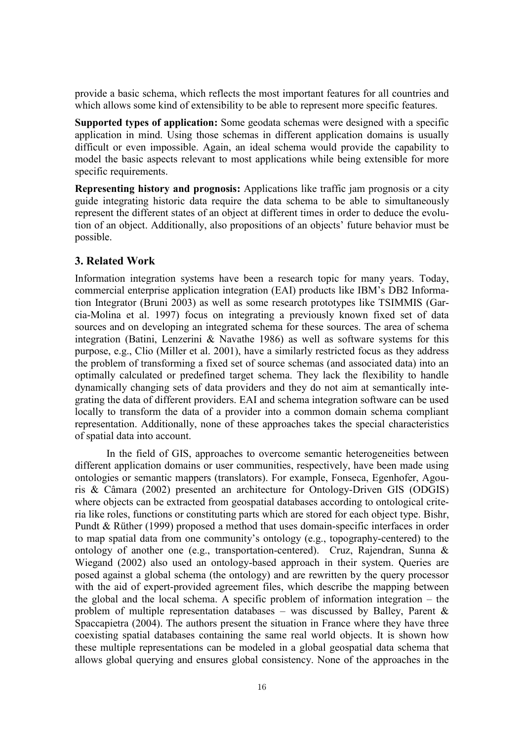provide a basic schema, which reflects the most important features for all countries and which allows some kind of extensibility to be able to represent more specific features.

**Supported types of application:** Some geodata schemas were designed with a specific application in mind. Using those schemas in different application domains is usually difficult or even impossible. Again, an ideal schema would provide the capability to model the basic aspects relevant to most applications while being extensible for more specific requirements.

**Representing history and prognosis:** Applications like traffic jam prognosis or a city guide integrating historic data require the data schema to be able to simultaneously represent the different states of an object at different times in order to deduce the evolution of an object. Additionally, also propositions of an objects' future behavior must be possible.

### **3. Related Work**

Information integration systems have been a research topic for many years. Today, commercial enterprise application integration (EAI) products like IBM's DB2 Information Integrator (Bruni 2003) as well as some research prototypes like TSIMMIS (Garcia-Molina et al. 1997) focus on integrating a previously known fixed set of data sources and on developing an integrated schema for these sources. The area of schema integration (Batini, Lenzerini & Navathe 1986) as well as software systems for this purpose, e.g., Clio (Miller et al. 2001), have a similarly restricted focus as they address the problem of transforming a fixed set of source schemas (and associated data) into an optimally calculated or predefined target schema. They lack the flexibility to handle dynamically changing sets of data providers and they do not aim at semantically integrating the data of different providers. EAI and schema integration software can be used locally to transform the data of a provider into a common domain schema compliant representation. Additionally, none of these approaches takes the special characteristics of spatial data into account.

In the field of GIS, approaches to overcome semantic heterogeneities between different application domains or user communities, respectively, have been made using ontologies or semantic mappers (translators). For example, Fonseca, Egenhofer, Agouris & Câmara (2002) presented an architecture for Ontology-Driven GIS (ODGIS) where objects can be extracted from geospatial databases according to ontological criteria like roles, functions or constituting parts which are stored for each object type. Bishr, Pundt & Rüther (1999) proposed a method that uses domain-specific interfaces in order to map spatial data from one community's ontology (e.g., topography-centered) to the ontology of another one (e.g., transportation-centered). Cruz, Rajendran, Sunna & Wiegand (2002) also used an ontology-based approach in their system. Queries are posed against a global schema (the ontology) and are rewritten by the query processor with the aid of expert-provided agreement files, which describe the mapping between the global and the local schema. A specific problem of information integration – the problem of multiple representation databases – was discussed by Balley, Parent  $\&$ Spaccapietra (2004). The authors present the situation in France where they have three coexisting spatial databases containing the same real world objects. It is shown how these multiple representations can be modeled in a global geospatial data schema that allows global querying and ensures global consistency. None of the approaches in the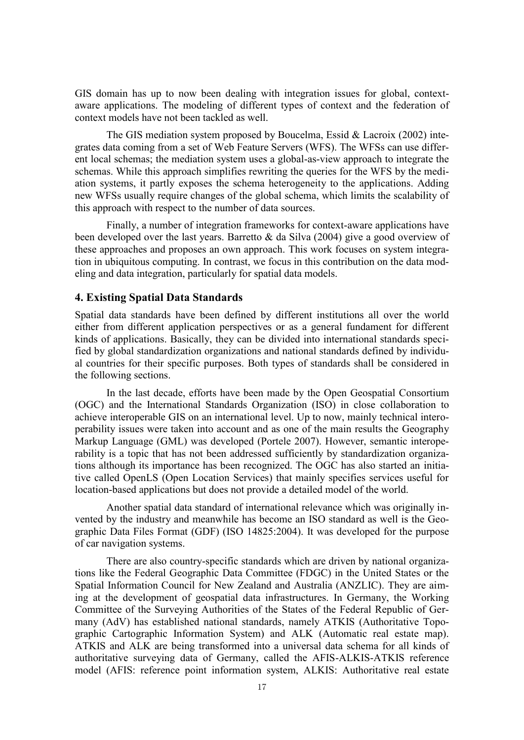GIS domain has up to now been dealing with integration issues for global, contextaware applications. The modeling of different types of context and the federation of context models have not been tackled as well.

The GIS mediation system proposed by Boucelma, Essid & Lacroix (2002) integrates data coming from a set of Web Feature Servers (WFS). The WFSs can use different local schemas; the mediation system uses a global-as-view approach to integrate the schemas. While this approach simplifies rewriting the queries for the WFS by the mediation systems, it partly exposes the schema heterogeneity to the applications. Adding new WFSs usually require changes of the global schema, which limits the scalability of this approach with respect to the number of data sources.

Finally, a number of integration frameworks for context-aware applications have been developed over the last years. Barretto & da Silva (2004) give a good overview of these approaches and proposes an own approach. This work focuses on system integration in ubiquitous computing. In contrast, we focus in this contribution on the data modeling and data integration, particularly for spatial data models.

#### **4. Existing Spatial Data Standards**

Spatial data standards have been defined by different institutions all over the world either from different application perspectives or as a general fundament for different kinds of applications. Basically, they can be divided into international standards specified by global standardization organizations and national standards defined by individual countries for their specific purposes. Both types of standards shall be considered in the following sections.

In the last decade, efforts have been made by the Open Geospatial Consortium (OGC) and the International Standards Organization (ISO) in close collaboration to achieve interoperable GIS on an international level. Up to now, mainly technical interoperability issues were taken into account and as one of the main results the Geography Markup Language (GML) was developed (Portele 2007). However, semantic interoperability is a topic that has not been addressed sufficiently by standardization organizations although its importance has been recognized. The OGC has also started an initiative called OpenLS (Open Location Services) that mainly specifies services useful for location-based applications but does not provide a detailed model of the world.

Another spatial data standard of international relevance which was originally invented by the industry and meanwhile has become an ISO standard as well is the Geographic Data Files Format (GDF) (ISO 14825:2004). It was developed for the purpose of car navigation systems.

There are also country-specific standards which are driven by national organizations like the Federal Geographic Data Committee (FDGC) in the United States or the Spatial Information Council for New Zealand and Australia (ANZLIC). They are aiming at the development of geospatial data infrastructures. In Germany, the Working Committee of the Surveying Authorities of the States of the Federal Republic of Germany (AdV) has established national standards, namely ATKIS (Authoritative Topographic Cartographic Information System) and ALK (Automatic real estate map). ATKIS and ALK are being transformed into a universal data schema for all kinds of authoritative surveying data of Germany, called the AFIS-ALKIS-ATKIS reference model (AFIS: reference point information system, ALKIS: Authoritative real estate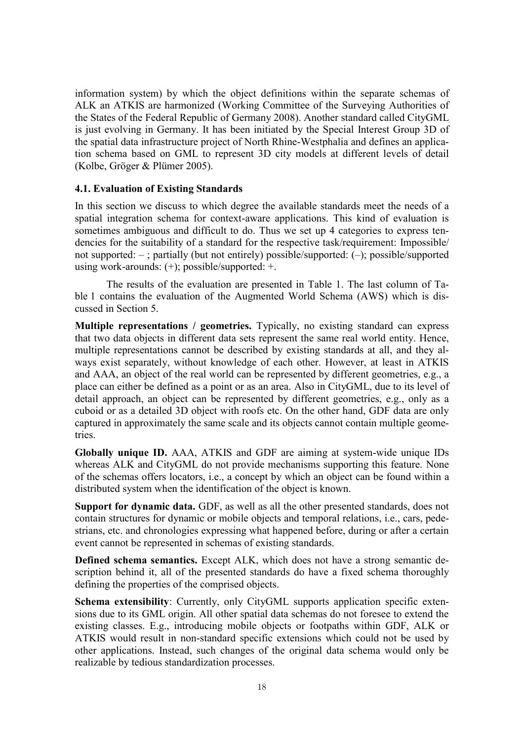information system) by which the object definitions within the separate schemas of ALK an ATKIS are harmonized (Working Committee of the Surveying Authorities of the States of the Federal Republic of Germany 2008). Another standard called CityGML is just evolving in Germany. It has been initiated by the Special Interest Group 3D of the spatial data infrastructure project of North Rhine-Westphalia and defines an application schema based on GML to represent 3D city models at different levels of detail (Kolbe, Gröger & Plümer 2005).

#### **4.1. Evaluation of Existing Standards**

In this section we discuss to which degree the available standards meet the needs of a spatial integration schema for context-aware applications. This kind of evaluation is sometimes ambiguous and difficult to do. Thus we set up 4 categories to express tendencies for the suitability of a standard for the respective task/requirement: Impossible/ not supported: – ; partially (but not entirely) possible/supported: (–); possible/supported using work-arounds: (+); possible/supported: +.

The results of the evaluation are presented in Table 1. The last column of Table 1 contains the evaluation of the Augmented World Schema (AWS) which is discussed in Section 5.

**Multiple representations / geometries.** Typically, no existing standard can express that two data objects in different data sets represent the same real world entity. Hence, multiple representations cannot be described by existing standards at all, and they always exist separately, without knowledge of each other. However, at least in ATKIS and AAA, an object of the real world can be represented by different geometries, e.g., a place can either be defined as a point or as an area. Also in CityGML, due to its level of detail approach, an object can be represented by different geometries, e.g., only as a cuboid or as a detailed 3D object with roofs etc. On the other hand, GDF data are only captured in approximately the same scale and its objects cannot contain multiple geometries.

**Globally unique ID.** AAA, ATKIS and GDF are aiming at system-wide unique IDs whereas ALK and CityGML do not provide mechanisms supporting this feature. None of the schemas offers locators, i.e., a concept by which an object can be found within a distributed system when the identification of the object is known.

**Support for dynamic data.** GDF, as well as all the other presented standards, does not contain structures for dynamic or mobile objects and temporal relations, i.e., cars, pedestrians, etc. and chronologies expressing what happened before, during or after a certain event cannot be represented in schemas of existing standards.

**Defined schema semantics.** Except ALK, which does not have a strong semantic description behind it, all of the presented standards do have a fixed schema thoroughly defining the properties of the comprised objects.

**Schema extensibility**: Currently, only CityGML supports application specific extensions due to its GML origin. All other spatial data schemas do not foresee to extend the existing classes. E.g., introducing mobile objects or footpaths within GDF, ALK or ATKIS would result in non-standard specific extensions which could not be used by other applications. Instead, such changes of the original data schema would only be realizable by tedious standardization processes.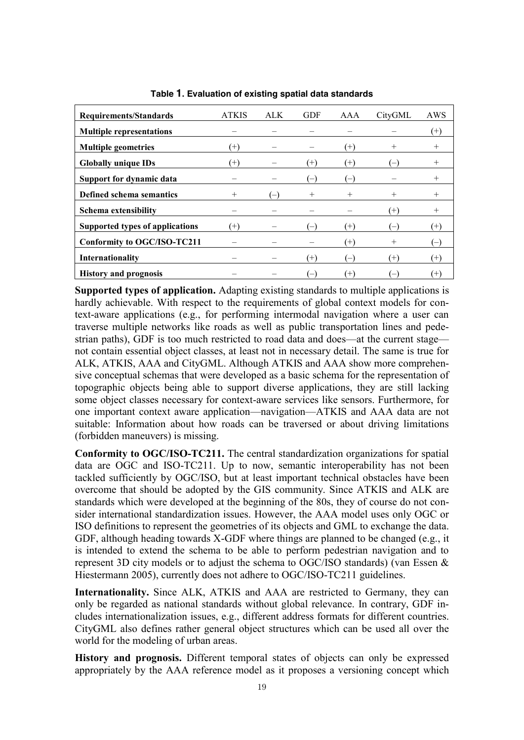| <b>Requirements/Standards</b>      | <b>ATKIS</b> | ALK. | <b>GDF</b>               | AAA               | CityGML  | AWS             |
|------------------------------------|--------------|------|--------------------------|-------------------|----------|-----------------|
| <b>Multiple representations</b>    |              |      |                          |                   |          | $^{\circ}$      |
| <b>Multiple geometries</b>         | $(+)$        |      |                          | (+)               | $^{+}$   | $^+$            |
| <b>Globally unique IDs</b>         | $(+)$        |      | $^{(+)}$                 | $(+)$             |          | $^+$            |
| Support for dynamic data           |              |      | $\overline{\phantom{m}}$ |                   |          | $^+$            |
| Defined schema semantics           | $^{+}$       | $-1$ | $^{+}$                   | $^{+}$            | $^{+}$   | $^{+}$          |
| Schema extensibility               |              |      |                          |                   | $^{(+)}$ | $^+$            |
| Supported types of applications    | $(+)$        |      | $-$                      | $(+)$             |          | $(+)$           |
| <b>Conformity to OGC/ISO-TC211</b> |              |      |                          | $^{(+)}$          | $^{+}$   |                 |
| Internationality                   |              |      | $^{(+)}$                 | $\qquad \qquad -$ | $^{(+)}$ | $^{\mathrm{+}}$ |
| <b>History and prognosis</b>       |              |      | $\overline{\phantom{m}}$ | Ή                 |          |                 |

**Table 1. Evaluation of existing spatial data standards**

**Supported types of application.** Adapting existing standards to multiple applications is hardly achievable. With respect to the requirements of global context models for context-aware applications (e.g., for performing intermodal navigation where a user can traverse multiple networks like roads as well as public transportation lines and pedestrian paths), GDF is too much restricted to road data and does—at the current stage not contain essential object classes, at least not in necessary detail. The same is true for ALK, ATKIS, AAA and CityGML. Although ATKIS and AAA show more comprehensive conceptual schemas that were developed as a basic schema for the representation of topographic objects being able to support diverse applications, they are still lacking some object classes necessary for context-aware services like sensors. Furthermore, for one important context aware application—navigation—ATKIS and AAA data are not suitable: Information about how roads can be traversed or about driving limitations (forbidden maneuvers) is missing.

**Conformity to OGC/ISO-TC211.** The central standardization organizations for spatial data are OGC and ISO-TC211. Up to now, semantic interoperability has not been tackled sufficiently by OGC/ISO, but at least important technical obstacles have been overcome that should be adopted by the GIS community. Since ATKIS and ALK are standards which were developed at the beginning of the 80s, they of course do not consider international standardization issues. However, the AAA model uses only OGC or ISO definitions to represent the geometries of its objects and GML to exchange the data. GDF, although heading towards X-GDF where things are planned to be changed (e.g., it is intended to extend the schema to be able to perform pedestrian navigation and to represent 3D city models or to adjust the schema to OGC/ISO standards) (van Essen & Hiestermann 2005), currently does not adhere to OGC/ISO-TC211 guidelines.

**Internationality.** Since ALK, ATKIS and AAA are restricted to Germany, they can only be regarded as national standards without global relevance. In contrary, GDF includes internationalization issues, e.g., different address formats for different countries. CityGML also defines rather general object structures which can be used all over the world for the modeling of urban areas.

**History and prognosis.** Different temporal states of objects can only be expressed appropriately by the AAA reference model as it proposes a versioning concept which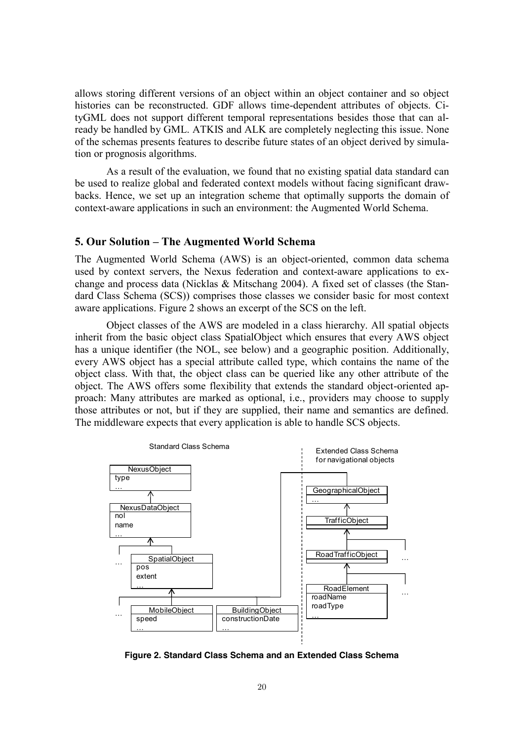allows storing different versions of an object within an object container and so object histories can be reconstructed. GDF allows time-dependent attributes of objects. CityGML does not support different temporal representations besides those that can already be handled by GML. ATKIS and ALK are completely neglecting this issue. None of the schemas presents features to describe future states of an object derived by simulation or prognosis algorithms.

As a result of the evaluation, we found that no existing spatial data standard can be used to realize global and federated context models without facing significant drawbacks. Hence, we set up an integration scheme that optimally supports the domain of context-aware applications in such an environment: the Augmented World Schema.

#### **5. Our Solution – The Augmented World Schema**

The Augmented World Schema (AWS) is an object-oriented, common data schema used by context servers, the Nexus federation and context-aware applications to exchange and process data (Nicklas & Mitschang 2004). A fixed set of classes (the Standard Class Schema (SCS)) comprises those classes we consider basic for most context aware applications. Figure 2 shows an excerpt of the SCS on the left.

Object classes of the AWS are modeled in a class hierarchy. All spatial objects inherit from the basic object class SpatialObject which ensures that every AWS object has a unique identifier (the NOL, see below) and a geographic position. Additionally, every AWS object has a special attribute called type, which contains the name of the object class. With that, the object class can be queried like any other attribute of the object. The AWS offers some flexibility that extends the standard object-oriented approach: Many attributes are marked as optional, i.e., providers may choose to supply those attributes or not, but if they are supplied, their name and semantics are defined. The middleware expects that every application is able to handle SCS objects.



**Figure 2. Standard Class Schema and an Extended Class Schema**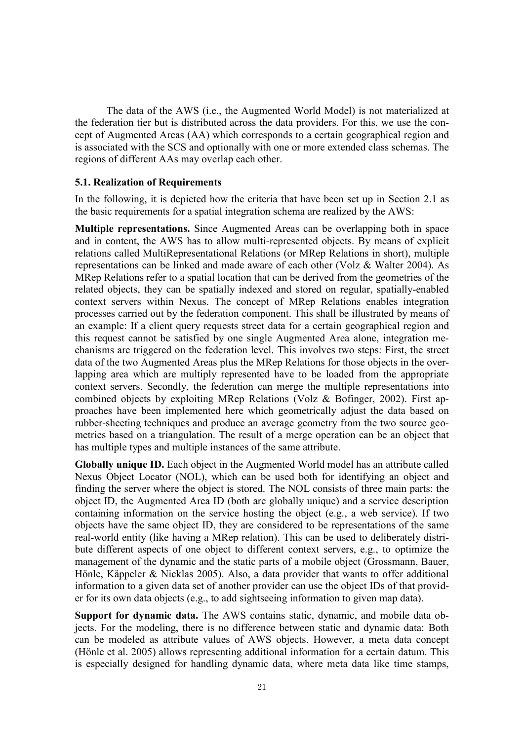The data of the AWS (i.e., the Augmented World Model) is not materialized at the federation tier but is distributed across the data providers. For this, we use the concept of Augmented Areas (AA) which corresponds to a certain geographical region and is associated with the SCS and optionally with one or more extended class schemas. The regions of different AAs may overlap each other.

#### **5.1. Realization of Requirements**

In the following, it is depicted how the criteria that have been set up in Section 2.1 as the basic requirements for a spatial integration schema are realized by the AWS:

**Multiple representations.** Since Augmented Areas can be overlapping both in space and in content, the AWS has to allow multi-represented objects. By means of explicit relations called MultiRepresentational Relations (or MRep Relations in short), multiple representations can be linked and made aware of each other (Volz & Walter 2004). As MRep Relations refer to a spatial location that can be derived from the geometries of the related objects, they can be spatially indexed and stored on regular, spatially-enabled context servers within Nexus. The concept of MRep Relations enables integration processes carried out by the federation component. This shall be illustrated by means of an example: If a client query requests street data for a certain geographical region and this request cannot be satisfied by one single Augmented Area alone, integration mechanisms are triggered on the federation level. This involves two steps: First, the street data of the two Augmented Areas plus the MRep Relations for those objects in the overlapping area which are multiply represented have to be loaded from the appropriate context servers. Secondly, the federation can merge the multiple representations into combined objects by exploiting MRep Relations (Volz & Bofinger, 2002). First approaches have been implemented here which geometrically adjust the data based on rubber-sheeting techniques and produce an average geometry from the two source geometries based on a triangulation. The result of a merge operation can be an object that has multiple types and multiple instances of the same attribute.

**Globally unique ID.** Each object in the Augmented World model has an attribute called Nexus Object Locator (NOL), which can be used both for identifying an object and finding the server where the object is stored. The NOL consists of three main parts: the object ID, the Augmented Area ID (both are globally unique) and a service description containing information on the service hosting the object (e.g., a web service). If two objects have the same object ID, they are considered to be representations of the same real-world entity (like having a MRep relation). This can be used to deliberately distribute different aspects of one object to different context servers, e.g., to optimize the management of the dynamic and the static parts of a mobile object (Grossmann, Bauer, Hönle, Käppeler & Nicklas 2005). Also, a data provider that wants to offer additional information to a given data set of another provider can use the object IDs of that provider for its own data objects (e.g., to add sightseeing information to given map data).

**Support for dynamic data.** The AWS contains static, dynamic, and mobile data objects. For the modeling, there is no difference between static and dynamic data: Both can be modeled as attribute values of AWS objects. However, a meta data concept (Hönle et al. 2005) allows representing additional information for a certain datum. This is especially designed for handling dynamic data, where meta data like time stamps,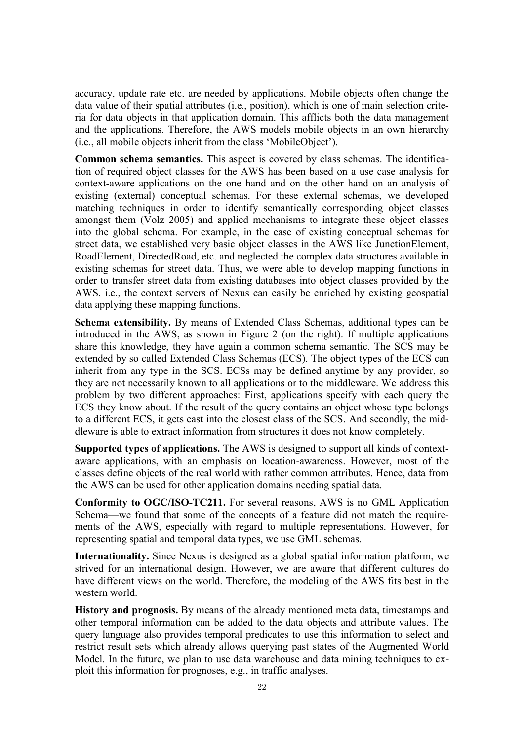accuracy, update rate etc. are needed by applications. Mobile objects often change the data value of their spatial attributes (i.e., position), which is one of main selection criteria for data objects in that application domain. This afflicts both the data management and the applications. Therefore, the AWS models mobile objects in an own hierarchy (i.e., all mobile objects inherit from the class 'MobileObject').

**Common schema semantics.** This aspect is covered by class schemas. The identification of required object classes for the AWS has been based on a use case analysis for context-aware applications on the one hand and on the other hand on an analysis of existing (external) conceptual schemas. For these external schemas, we developed matching techniques in order to identify semantically corresponding object classes amongst them (Volz 2005) and applied mechanisms to integrate these object classes into the global schema. For example, in the case of existing conceptual schemas for street data, we established very basic object classes in the AWS like JunctionElement, RoadElement, DirectedRoad, etc. and neglected the complex data structures available in existing schemas for street data. Thus, we were able to develop mapping functions in order to transfer street data from existing databases into object classes provided by the AWS, i.e., the context servers of Nexus can easily be enriched by existing geospatial data applying these mapping functions.

**Schema extensibility.** By means of Extended Class Schemas, additional types can be introduced in the AWS, as shown in Figure 2 (on the right). If multiple applications share this knowledge, they have again a common schema semantic. The SCS may be extended by so called Extended Class Schemas (ECS). The object types of the ECS can inherit from any type in the SCS. ECSs may be defined anytime by any provider, so they are not necessarily known to all applications or to the middleware. We address this problem by two different approaches: First, applications specify with each query the ECS they know about. If the result of the query contains an object whose type belongs to a different ECS, it gets cast into the closest class of the SCS. And secondly, the middleware is able to extract information from structures it does not know completely.

**Supported types of applications.** The AWS is designed to support all kinds of contextaware applications, with an emphasis on location-awareness. However, most of the classes define objects of the real world with rather common attributes. Hence, data from the AWS can be used for other application domains needing spatial data.

**Conformity to OGC/ISO-TC211.** For several reasons, AWS is no GML Application Schema—we found that some of the concepts of a feature did not match the requirements of the AWS, especially with regard to multiple representations. However, for representing spatial and temporal data types, we use GML schemas.

**Internationality.** Since Nexus is designed as a global spatial information platform, we strived for an international design. However, we are aware that different cultures do have different views on the world. Therefore, the modeling of the AWS fits best in the western world.

**History and prognosis.** By means of the already mentioned meta data, timestamps and other temporal information can be added to the data objects and attribute values. The query language also provides temporal predicates to use this information to select and restrict result sets which already allows querying past states of the Augmented World Model. In the future, we plan to use data warehouse and data mining techniques to exploit this information for prognoses, e.g., in traffic analyses.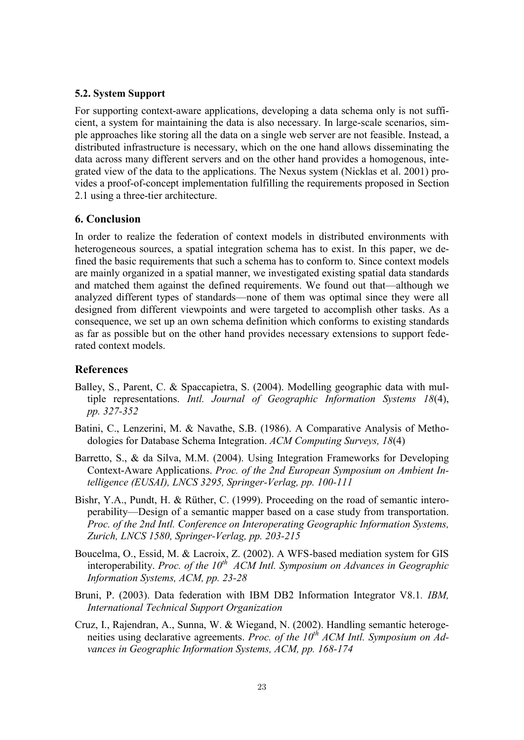#### **5.2. System Support**

For supporting context-aware applications, developing a data schema only is not sufficient, a system for maintaining the data is also necessary. In large-scale scenarios, simple approaches like storing all the data on a single web server are not feasible. Instead, a distributed infrastructure is necessary, which on the one hand allows disseminating the data across many different servers and on the other hand provides a homogenous, integrated view of the data to the applications. The Nexus system (Nicklas et al. 2001) provides a proof-of-concept implementation fulfilling the requirements proposed in Section 2.1 using a three-tier architecture.

#### **6. Conclusion**

In order to realize the federation of context models in distributed environments with heterogeneous sources, a spatial integration schema has to exist. In this paper, we defined the basic requirements that such a schema has to conform to. Since context models are mainly organized in a spatial manner, we investigated existing spatial data standards and matched them against the defined requirements. We found out that—although we analyzed different types of standards—none of them was optimal since they were all designed from different viewpoints and were targeted to accomplish other tasks. As a consequence, we set up an own schema definition which conforms to existing standards as far as possible but on the other hand provides necessary extensions to support federated context models.

#### **References**

- Balley, S., Parent, C. & Spaccapietra, S. (2004). Modelling geographic data with multiple representations. *Intl. Journal of Geographic Information Systems 18*(4), *pp. 327-352*
- Batini, C., Lenzerini, M. & Navathe, S.B. (1986). A Comparative Analysis of Methodologies for Database Schema Integration. *ACM Computing Surveys, 18*(4)
- Barretto, S., & da Silva, M.M. (2004). Using Integration Frameworks for Developing Context-Aware Applications. *Proc. of the 2nd European Symposium on Ambient Intelligence (EUSAI), LNCS 3295, Springer-Verlag, pp. 100-111*
- Bishr, Y.A., Pundt, H. & Rüther, C. (1999). Proceeding on the road of semantic interoperability—Design of a semantic mapper based on a case study from transportation. *Proc. of the 2nd Intl. Conference on Interoperating Geographic Information Systems, Zurich, LNCS 1580, Springer-Verlag, pp. 203-215*
- Boucelma, O., Essid, M. & Lacroix, Z. (2002). A WFS-based mediation system for GIS interoperability. *Proc.* of the 10<sup>th</sup> ACM Intl. Symposium on Advances in Geographic *Information Systems, ACM, pp. 23-28*
- Bruni, P. (2003). Data federation with IBM DB2 Information Integrator V8.1*. IBM, International Technical Support Organization*
- Cruz, I., Rajendran, A., Sunna, W. & Wiegand, N. (2002). Handling semantic heterogeneities using declarative agreements. *Proc. of the 10<sup>th</sup> ACM Intl. Symposium on Advances in Geographic Information Systems, ACM, pp. 168-174*